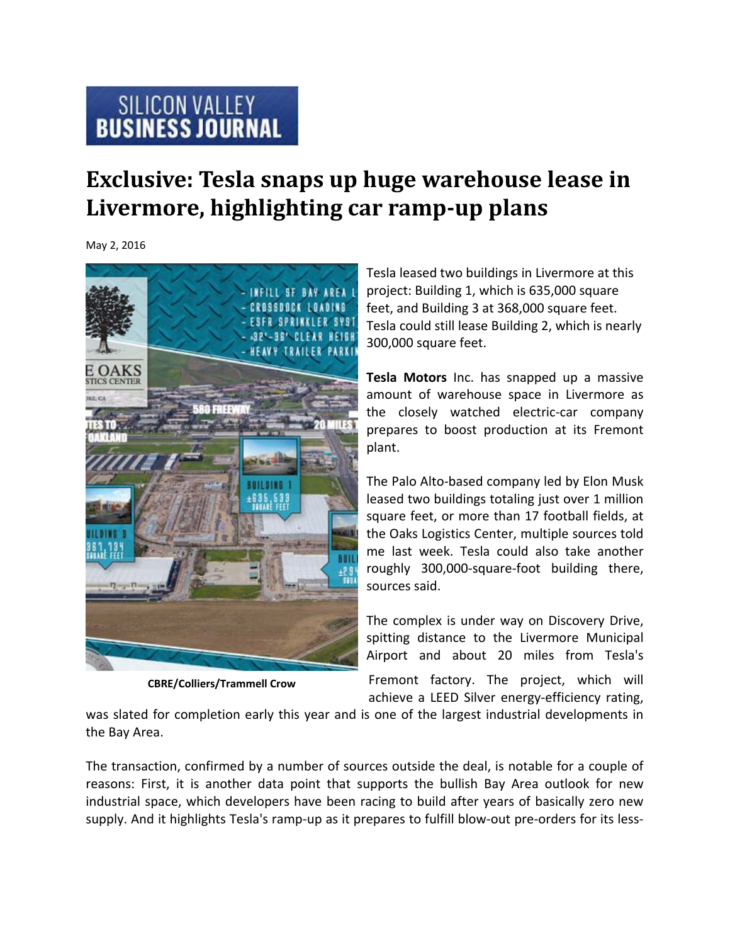## **SILICON VALLEY<br>BUSINESS JOURNAL**

## **Exclusive: Tesla snaps up huge warehouse lease in Livermore, highlighting car rampup plans**

May 2, 2016



**CBRE/Colliers/Trammell Crow**

Tesla leased two buildings in Livermore at this project: Building 1, which is 635,000 square feet, and Building 3 at 368,000 square feet. Tesla could still lease Building 2, which is nearly 300,000 square feet.

**Tesla Motors** Inc. has snapped up a massive amount of warehouse space in Livermore as the closely watched electric‐car company prepares to boost production at its Fremont plant.

The Palo Alto‐based company led by Elon Musk leased two buildings totaling just over 1 million square feet, or more than 17 football fields, at the Oaks Logistics Center, multiple sources told me last week. Tesla could also take another roughly 300,000‐square‐foot building there, sources said.

The complex is under way on Discovery Drive, spitting distance to the Livermore Municipal Airport and about 20 miles from Tesla's

Fremont factory. The project, which will achieve a LEED Silver energy-efficiency rating,

was slated for completion early this year and is one of the largest industrial developments in the Bay Area.

The transaction, confirmed by a number of sources outside the deal, is notable for a couple of reasons: First, it is another data point that supports the bullish Bay Area outlook for new industrial space, which developers have been racing to build after years of basically zero new supply. And it highlights Tesla's ramp-up as it prepares to fulfill blow-out pre-orders for its less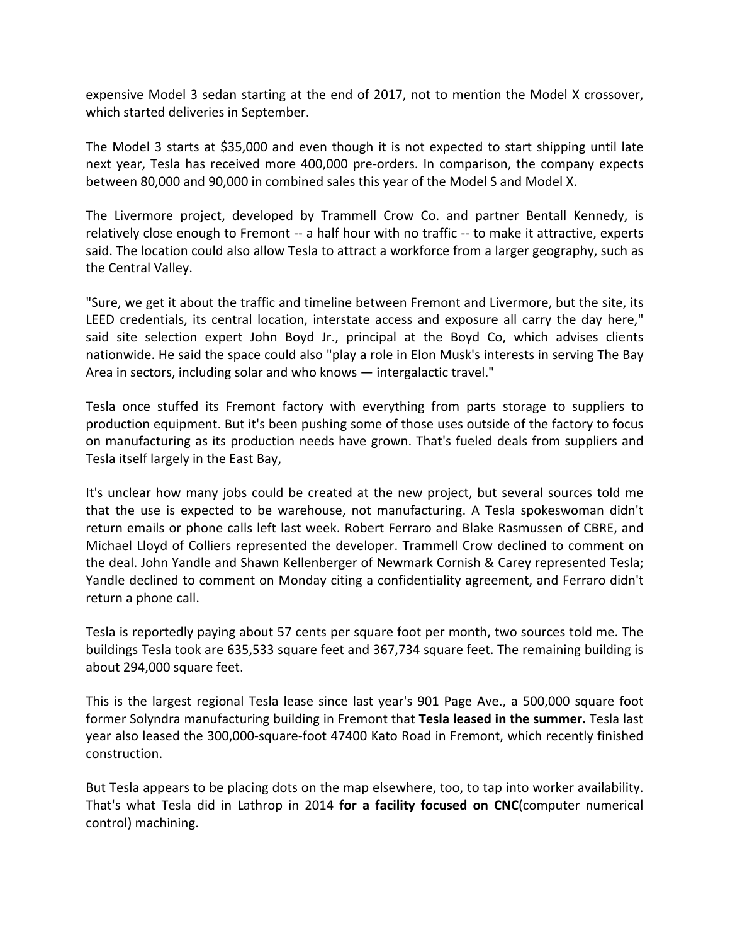expensive Model 3 sedan starting at the end of 2017, not to mention the Model X crossover, which started deliveries in September.

The Model 3 starts at \$35,000 and even though it is not expected to start shipping until late next year, Tesla has received more 400,000 pre‐orders. In comparison, the company expects between 80,000 and 90,000 in combined sales this year of the Model S and Model X.

The Livermore project, developed by Trammell Crow Co. and partner Bentall Kennedy, is relatively close enough to Fremont ‐‐ a half hour with no traffic ‐‐ to make it attractive, experts said. The location could also allow Tesla to attract a workforce from a larger geography, such as the Central Valley.

"Sure, we get it about the traffic and timeline between Fremont and Livermore, but the site, its LEED credentials, its central location, interstate access and exposure all carry the day here," said site selection expert John Boyd Jr., principal at the Boyd Co, which advises clients nationwide. He said the space could also "play a role in Elon Musk's interests in serving The Bay Area in sectors, including solar and who knows — intergalactic travel."

Tesla once stuffed its Fremont factory with everything from parts storage to suppliers to production equipment. But it's been pushing some of those uses outside of the factory to focus on manufacturing as its production needs have grown. That's fueled deals from suppliers and Tesla itself largely in the East Bay,

It's unclear how many jobs could be created at the new project, but several sources told me that the use is expected to be warehouse, not manufacturing. A Tesla spokeswoman didn't return emails or phone calls left last week. Robert Ferraro and Blake Rasmussen of CBRE, and Michael Lloyd of Colliers represented the developer. Trammell Crow declined to comment on the deal. John Yandle and Shawn Kellenberger of Newmark Cornish & Carey represented Tesla; Yandle declined to comment on Monday citing a confidentiality agreement, and Ferraro didn't return a phone call.

Tesla is reportedly paying about 57 cents per square foot per month, two sources told me. The buildings Tesla took are 635,533 square feet and 367,734 square feet. The remaining building is about 294,000 square feet.

This is the largest regional Tesla lease since last year's 901 Page Ave., a 500,000 square foot former Solyndra manufacturing building in Fremont that **Tesla leased in the summer.** Tesla last year also leased the 300,000‐square‐foot 47400 Kato Road in Fremont, which recently finished construction.

But Tesla appears to be placing dots on the map elsewhere, too, to tap into worker availability. That's what Tesla did in Lathrop in 2014 **for a facility focused on CNC**(computer numerical control) machining.